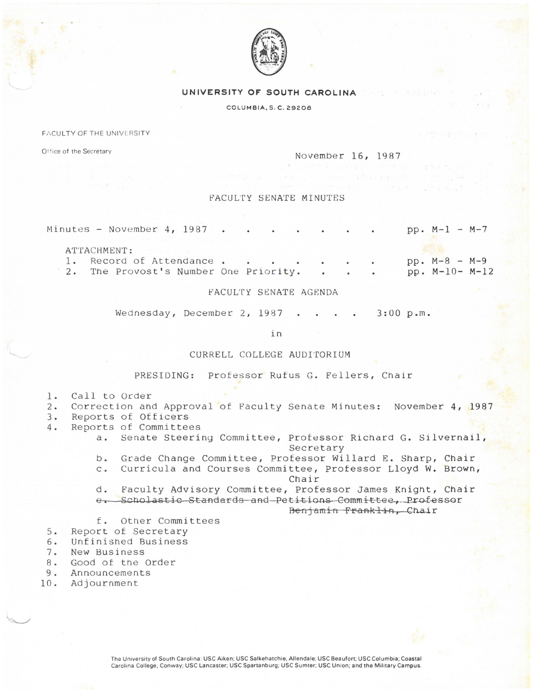

## UNIVERSITY OF SOUTH CAROLINA

COLUMBIA, S. C. 29208

FACULTY OF THE UNIVERSITY

Office of the Secretary

November 16, 1987

## FACULTY SENATE MINUTES

|  |  | Minutes - November 4, 1987             |  |  |  |  |  | $pp. M-1 - M-7$  |  |
|--|--|----------------------------------------|--|--|--|--|--|------------------|--|
|  |  | ATTACHMENT:<br>1. Record of Attendance |  |  |  |  |  | $pp. M-8 - M-9$  |  |
|  |  |                                        |  |  |  |  |  |                  |  |
|  |  | 2. The Provost's Number One Priority.  |  |  |  |  |  | $pp. M-10- M-12$ |  |

## FACULTY SENATE AGENDA

Wednesday, December 2, 1987  $3:00 p.m.$ 

in

## CURRELL COLLEGE AUDITORIUM

PRESIDING: Professor Rufus G. Fellers, Chair

- Call to Order 1.
- Correction and Approval of Faculty Senate Minutes: November 4, 1987  $2.$
- Reports of Officers  $3.$
- Reports of Committees  $4.$ 
	- Senate Steering Committee, Professor Richard G. Silvernail,  $a.$ Secretary
	- Grade Change Committee, Professor Willard E. Sharp, Chair  $b_{\bullet}$
	- Curricula and Courses Committee, Professor Lloyd W. Brown,  $C$ . Chair
	- Faculty Advisory Committee, Professor James Knight, Chair d.
	- e. Scholastic Standards and Petitions Committee, Professor

Benjamin Franklin, Chair

- f. Other Committees
- Report of Secretary  $5.$
- Unfinished Business 6.
- $7.$ New Business
- $8.$ Good of the Order
- $9.$ Announcements
- 10. Adjournment